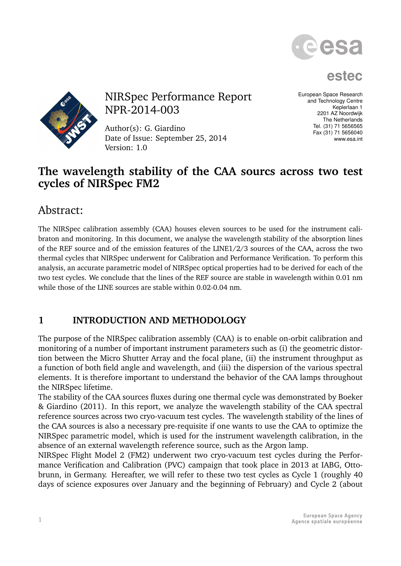

**estec**



NIRSpec Performance Report NPR-2014-003

Author(s): G. Giardino Date of Issue: September 25, 2014 Version: 1.0

European Space Research and Technology Centre Keplerlaan 1 2201 AZ Noordwijk The Netherlands Tel. (31) 71 5656565 Fax (31) 71 5656040 www.esa.int

## **The wavelength stability of the CAA sourcs across two test cycles of NIRSpec FM2**

# Abstract:

The NIRSpec calibration assembly (CAA) houses eleven sources to be used for the instrument calibraton and monitoring. In this document, we analyse the wavelength stability of the absorption lines of the REF source and of the emission features of the LINE1/2/3 sources of the CAA, across the two thermal cycles that NIRSpec underwent for Calibration and Performance Verification. To perform this analysis, an accurate parametric model of NIRSpec optical properties had to be derived for each of the two test cycles. We conclude that the lines of the REF source are stable in wavelength within 0.01 nm while those of the LINE sources are stable within 0.02-0.04 nm.

## **1 INTRODUCTION AND METHODOLOGY**

The purpose of the NIRSpec calibration assembly (CAA) is to enable on-orbit calibration and monitoring of a number of important instrument parameters such as (i) the geometric distortion between the Micro Shutter Array and the focal plane, (ii) the instrument throughput as a function of both field angle and wavelength, and (iii) the dispersion of the various spectral elements. It is therefore important to understand the behavior of the CAA lamps throughout the NIRSpec lifetime.

The stability of the CAA sources fluxes during one thermal cycle was demonstrated by Boeker & Giardino (2011). In this report, we analyze the wavelength stability of the CAA spectral reference sources across two cryo-vacuum test cycles. The wavelength stability of the lines of the CAA sources is also a necessary pre-requisite if one wants to use the CAA to optimize the NIRSpec parametric model, which is used for the instrument wavelength calibration, in the absence of an external wavelength reference source, such as the Argon lamp.

NIRSpec Flight Model 2 (FM2) underwent two cryo-vacuum test cycles during the Performance Verification and Calibration (PVC) campaign that took place in 2013 at IABG, Ottobrunn, in Germany. Hereafter, we will refer to these two test cycles as Cycle 1 (roughly 40 days of science exposures over January and the beginning of February) and Cycle 2 (about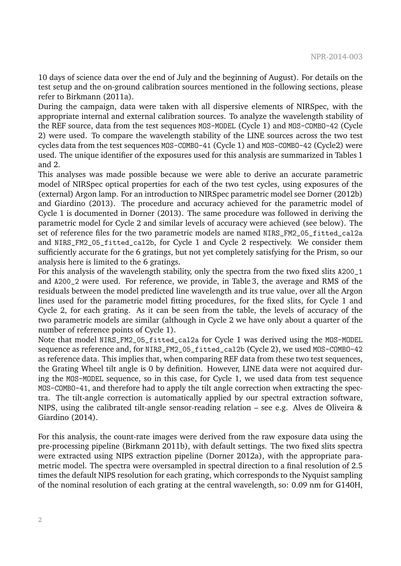10 days of science data over the end of July and the beginning of August). For details on the test setup and the on-ground calibration sources mentioned in the following sections, please refer to Birkmann (2011a).

During the campaign, data were taken with all dispersive elements of NIRSpec, with the appropriate internal and external calibration sources. To analyze the wavelength stability of the REF source, data from the test sequences MOS-MODEL (Cycle 1) and MOS-COMBO-42 (Cycle 2) were used. To compare the wavelength stability of the LINE sources across the two test cycles data from the test sequences MOS-COMBO-41 (Cycle 1) and MOS-COMBO-42 (Cycle2) were used. The unique identifier of the exposures used for this analysis are summarized in Tables 1 and 2.

This analyses was made possible because we were able to derive an accurate parametric model of NIRSpec optical properties for each of the two test cycles, using exposures of the (external) Argon lamp. For an introduction to NIRSpec parametric model see Dorner (2012b) and Giardino (2013). The procedure and accuracy achieved for the parametric model of Cycle 1 is documented in Dorner (2013). The same procedure was followed in deriving the parametric model for Cycle 2 and similar levels of accuracy were achieved (see below). The set of reference files for the two parametric models are named NIRS\_FM2\_05\_fitted\_cal2a and NIRS\_FM2\_05\_fitted\_cal2b, for Cycle 1 and Cycle 2 respectively. We consider them sufficiently accurate for the 6 gratings, but not yet completely satisfying for the Prism, so our analysis here is limited to the 6 gratings.

For this analysis of the wavelength stability, only the spectra from the two fixed slits A200\_1 and A200\_2 were used. For reference, we provide, in Table 3, the average and RMS of the residuals between the model predicted line wavelength and its true value, over all the Argon lines used for the parametric model fitting procedures, for the fixed slits, for Cycle 1 and Cycle 2, for each grating. As it can be seen from the table, the levels of accuracy of the two parametric models are similar (although in Cycle 2 we have only about a quarter of the number of reference points of Cycle 1).

Note that model NIRS\_FM2\_05\_fitted\_cal2a for Cycle 1 was derived using the MOS-MODEL sequence as reference and, for NIRS\_FM2\_05\_fitted\_cal2b (Cycle 2), we used MOS-COMBO-42 as reference data. This implies that, when comparing REF data from these two test sequences, the Grating Wheel tilt angle is 0 by definition. However, LINE data were not acquired during the MOS-MODEL sequence, so in this case, for Cycle 1, we used data from test sequence MOS-COMBO-41, and therefore had to apply the tilt angle correction when extracting the spectra. The tilt-angle correction is automatically applied by our spectral extraction software, NIPS, using the calibrated tilt-angle sensor-reading relation – see e.g. Alves de Oliveira & Giardino (2014).

For this analysis, the count-rate images were derived from the raw exposure data using the pre-processing pipeline (Birkmann 2011b), with default settings. The two fixed slits spectra were extracted using NIPS extraction pipeline (Dorner 2012a), with the appropriate parametric model. The spectra were oversampled in spectral direction to a final resolution of 2.5 times the default NIPS resolution for each grating, which corresponds to the Nyquist sampling of the nominal resolution of each grating at the central wavelength, so: 0.09 nm for G140H,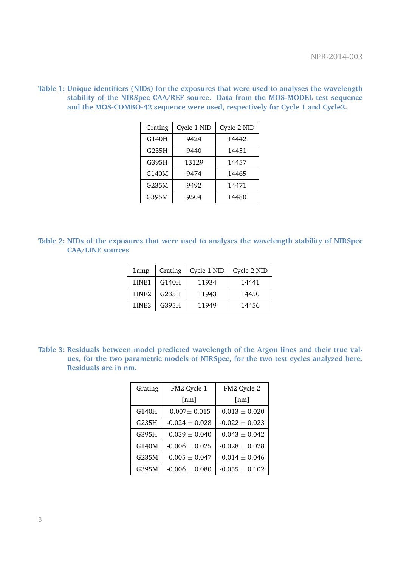| Grating | Cycle 1 NID | Cycle 2 NID |
|---------|-------------|-------------|
| G140H   | 9424        | 14442       |
| G235H   | 9440        | 14451       |
| G395H   | 13129       | 14457       |
| G140M   | 9474        | 14465       |
| G235M   | 9492        | 14471       |
| G395M   | 9504        | 14480       |

**Table 1: Unique identifiers (NIDs) for the exposures that were used to analyses the wavelength stability of the NIRSpec CAA/REF source. Data from the MOS-MODEL test sequence and the MOS-COMBO-42 sequence were used, respectively for Cycle 1 and Cycle2.**

**Table 2: NIDs of the exposures that were used to analyses the wavelength stability of NIRSpec CAA/LINE sources**

| Lamp              | Grating | Cycle 1 NID | Cycle 2 NID |
|-------------------|---------|-------------|-------------|
| LINE1             | G140H   | 11934       | 14441       |
| LINE <sub>2</sub> | G235H   | 11943       | 14450       |
| LINE3             | G395H   | 11949       | 14456       |

**Table 3: Residuals between model predicted wavelength of the Argon lines and their true values, for the two parametric models of NIRSpec, for the two test cycles analyzed here. Residuals are in nm.**

| Grating | FM2 Cycle 1        | FM2 Cycle 2        |
|---------|--------------------|--------------------|
|         | $\lceil nm \rceil$ | $\lceil nm \rceil$ |
| G140H   | $-0.007 \pm 0.015$ | $-0.013 + 0.020$   |
| G235H   | $-0.024 \pm 0.028$ | $-0.022 \pm 0.023$ |
| G395H   | $-0.039 \pm 0.040$ | $-0.043 \pm 0.042$ |
| G140M   | $-0.006 \pm 0.025$ | $-0.028 \pm 0.028$ |
| G235M   | $-0.005 \pm 0.047$ | $-0.014 \pm 0.046$ |
| G395M   | $-0.006 + 0.080$   | $-0.055 + 0.102$   |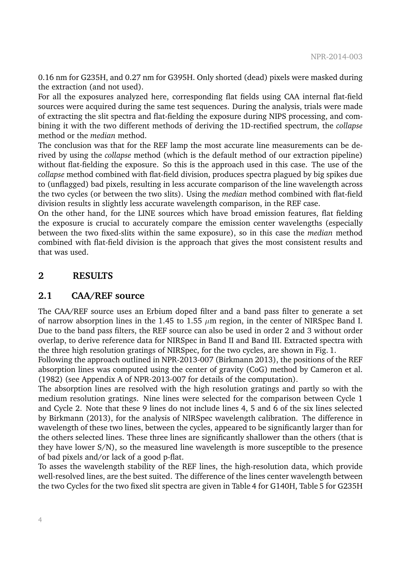0.16 nm for G235H, and 0.27 nm for G395H. Only shorted (dead) pixels were masked during the extraction (and not used).

For all the exposures analyzed here, corresponding flat fields using CAA internal flat-field sources were acquired during the same test sequences. During the analysis, trials were made of extracting the slit spectra and flat-fielding the exposure during NIPS processing, and combining it with the two different methods of deriving the 1D-rectified spectrum, the *collapse* method or the *median* method.

The conclusion was that for the REF lamp the most accurate line measurements can be derived by using the *collapse* method (which is the default method of our extraction pipeline) without flat-fielding the exposure. So this is the approach used in this case. The use of the *collapse* method combined with flat-field division, produces spectra plagued by big spikes due to (unflagged) bad pixels, resulting in less accurate comparison of the line wavelength across the two cycles (or between the two slits). Using the *median* method combined with flat-field division results in slightly less accurate wavelength comparison, in the REF case.

On the other hand, for the LINE sources which have broad emission features, flat fielding the exposure is crucial to accurately compare the emission center wavelengths (especially between the two fixed-slits within the same exposure), so in this case the *median* method combined with flat-field division is the approach that gives the most consistent results and that was used.

### **2 RESULTS**

### **2.1 CAA/REF source**

The CAA/REF source uses an Erbium doped filter and a band pass filter to generate a set of narrow absorption lines in the 1.45 to 1.55  $\mu$ m region, in the center of NIRSpec Band I. Due to the band pass filters, the REF source can also be used in order 2 and 3 without order overlap, to derive reference data for NIRSpec in Band II and Band III. Extracted spectra with the three high resolution gratings of NIRSpec, for the two cycles, are shown in Fig. 1.

Following the approach outlined in NPR-2013-007 (Birkmann 2013), the positions of the REF absorption lines was computed using the center of gravity (CoG) method by Cameron et al. (1982) (see Appendix A of NPR-2013-007 for details of the computation).

The absorption lines are resolved with the high resolution gratings and partly so with the medium resolution gratings. Nine lines were selected for the comparison between Cycle 1 and Cycle 2. Note that these 9 lines do not include lines 4, 5 and 6 of the six lines selected by Birkmann (2013), for the analysis of NIRSpec wavelength calibration. The difference in wavelength of these two lines, between the cycles, appeared to be significantly larger than for the others selected lines. These three lines are significantly shallower than the others (that is they have lower S/N), so the measured line wavelength is more susceptible to the presence of bad pixels and/or lack of a good p-flat.

To asses the wavelength stability of the REF lines, the high-resolution data, which provide well-resolved lines, are the best suited. The difference of the lines center wavelength between the two Cycles for the two fixed slit spectra are given in Table 4 for G140H, Table 5 for G235H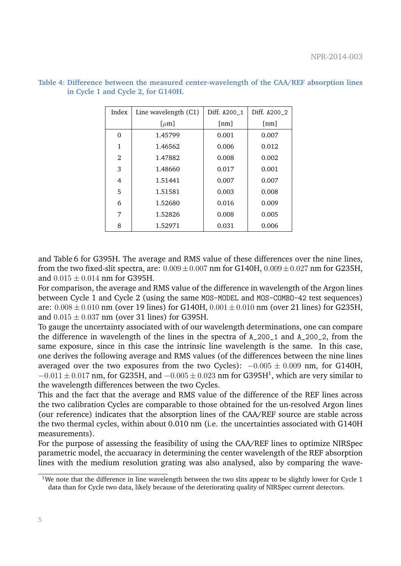| Index | Line wavelength $(C1)$         | Diff. A200_1 | Diff. A200_2 |
|-------|--------------------------------|--------------|--------------|
|       | $\lbrack \mu \text{m} \rbrack$ | [nm]         | [nm]         |
| 0     | 1.45799                        | 0.001        | 0.007        |
| 1     | 1.46562                        | 0.006        | 0.012        |
| 2     | 1.47882                        | 0.008        | 0.002        |
| 3     | 1.48660                        | 0.017        | 0.001        |
| 4     | 1.51441                        | 0.007        | 0.007        |
| 5     | 1.51581                        | 0.003        | 0.008        |
| 6     | 1.52680                        | 0.016        | 0.009        |
| 7     | 1.52826                        | 0.008        | 0.005        |
| 8     | 1.52971                        | 0.031        | 0.006        |

**Table 4: Difference between the measured center-wavelength of the CAA/REF absorption lines in Cycle 1 and Cycle 2, for G140H.**

and Table 6 for G395H. The average and RMS value of these differences over the nine lines, from the two fixed-slit spectra, are:  $0.009 \pm 0.007$  nm for G140H,  $0.009 \pm 0.027$  nm for G235H, and  $0.015 \pm 0.014$  nm for G395H.

For comparison, the average and RMS value of the difference in wavelength of the Argon lines between Cycle 1 and Cycle 2 (using the same MOS-MODEL and MOS-COMBO-42 test sequences) are:  $0.008 \pm 0.010$  nm (over 19 lines) for G140H,  $0.001 \pm 0.010$  nm (over 21 lines) for G235H. and  $0.015 \pm 0.037$  nm (over 31 lines) for G395H.

To gauge the uncertainty associated with of our wavelength determinations, one can compare the difference in wavelength of the lines in the spectra of A\_200\_1 and A\_200\_2, from the same exposure, since in this case the intrinsic line wavelength is the same. In this case, one derives the following average and RMS values (of the differences between the nine lines averaged over the two exposures from the two Cycles):  $-0.005 \pm 0.009$  nm, for G140H,  $-0.011 \pm 0.017$  nm, for G235H, and  $-0.005 \pm 0.023$  nm for G395H<sup>1</sup>, which are very similar to the wavelength differences between the two Cycles.

This and the fact that the average and RMS value of the difference of the REF lines across the two calibration Cycles are comparable to those obtained for the un-resolved Argon lines (our reference) indicates that the absorption lines of the CAA/REF source are stable across the two thermal cycles, within about 0.010 nm (i.e. the uncertainties associated with G140H measurements).

For the purpose of assessing the feasibility of using the CAA/REF lines to optimize NIRSpec parametric model, the accuaracy in determining the center wavelength of the REF absorption lines with the medium resolution grating was also analysed, also by comparing the wave-

<sup>&</sup>lt;sup>1</sup>We note that the difference in line wavelength between the two slits appear to be slightly lower for Cycle 1 data than for Cycle two data, likely because of the deteriorating quality of NIRSpec current detectors.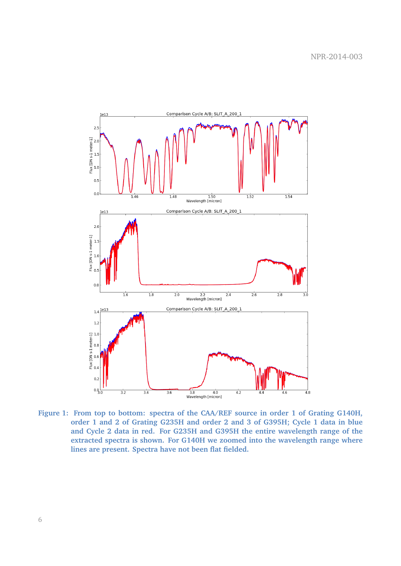

**Figure 1: From top to bottom: spectra of the CAA/REF source in order 1 of Grating G140H, order 1 and 2 of Grating G235H and order 2 and 3 of G395H; Cycle 1 data in blue and Cycle 2 data in red. For G235H and G395H the entire wavelength range of the extracted spectra is shown. For G140H we zoomed into the wavelength range where lines are present. Spectra have not been flat fielded.**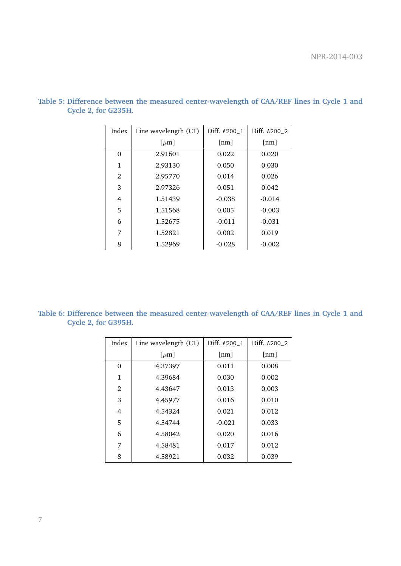| Index | Line wavelength $(C1)$         | Diff. A200_1 | Diff. A200_2 |
|-------|--------------------------------|--------------|--------------|
|       | $\lbrack \mu \text{m} \rbrack$ | [nm]         | [nm]         |
| 0     | 2.91601                        | 0.022        | 0.020        |
| 1     | 2.93130                        | 0.050        | 0.030        |
| 2     | 2.95770                        | 0.014        | 0.026        |
| 3     | 2.97326                        | 0.051        | 0.042        |
| 4     | 1.51439                        | $-0.038$     | $-0.014$     |
| 5     | 1.51568                        | 0.005        | $-0.003$     |
| 6     | 1.52675                        | $-0.011$     | $-0.031$     |
| 7     | 1.52821                        | 0.002        | 0.019        |
| 8     | 1.52969                        | $-0.028$     | $-0.002$     |

**Table 5: Difference between the measured center-wavelength of CAA/REF lines in Cycle 1 and Cycle 2, for G235H.**

**Table 6: Difference between the measured center-wavelength of CAA/REF lines in Cycle 1 and Cycle 2, for G395H.**

| Index          | Line wavelength $(C1)$         | Diff. A200_1 | Diff. A200_2 |
|----------------|--------------------------------|--------------|--------------|
|                | $\lbrack \mu \text{m} \rbrack$ | [nm]         | [nm]         |
| 0              | 4.37397                        | 0.011        | 0.008        |
| 1              | 4.39684                        | 0.030        | 0.002        |
| $\mathfrak{D}$ | 4.43647                        | 0.013        | 0.003        |
| 3              | 4.45977                        | 0.016        | 0.010        |
| 4              | 4.54324                        | 0.021        | 0.012        |
| 5              | 4.54744                        | $-0.021$     | 0.033        |
| 6              | 4.58042                        | 0.020        | 0.016        |
| 7              | 4.58481                        | 0.017        | 0.012        |
| 8              | 4.58921                        | 0.032        | 0.039        |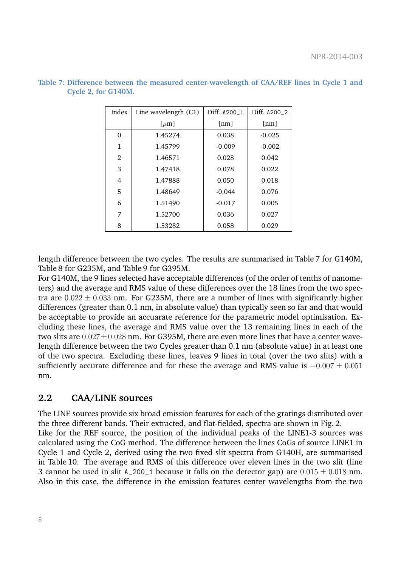| Index          | Line wavelength $(C1)$         | Diff. A200_1       | Diff. A200_2       |
|----------------|--------------------------------|--------------------|--------------------|
|                | $\lbrack \mu \text{m} \rbrack$ | $\lceil nm \rceil$ | $\lceil nm \rceil$ |
| 0              | 1.45274                        | 0.038              | $-0.025$           |
| 1              | 1.45799                        | $-0.009$           | $-0.002$           |
| $\mathfrak{D}$ | 1.46571                        | 0.028              | 0.042              |
| 3              | 1.47418                        | 0.078              | 0.022              |
| 4              | 1.47888                        | 0.050              | 0.018              |
| 5              | 1.48649                        | $-0.044$           | 0.076              |
| 6              | 1.51490                        | $-0.017$           | 0.005              |
| 7              | 1.52700                        | 0.036              | 0.027              |
| 8              | 1.53282                        | 0.058              | 0.029              |

**Table 7: Difference between the measured center-wavelength of CAA/REF lines in Cycle 1 and Cycle 2, for G140M.**

length difference between the two cycles. The results are summarised in Table 7 for G140M, Table 8 for G235M, and Table 9 for G395M.

For G140M, the 9 lines selected have acceptable differences (of the order of tenths of nanometers) and the average and RMS value of these differences over the 18 lines from the two spectra are  $0.022 \pm 0.033$  nm. For G235M, there are a number of lines with significantly higher differences (greater than 0.1 nm, in absolute value) than typically seen so far and that would be acceptable to provide an accuarate reference for the parametric model optimisation. Excluding these lines, the average and RMS value over the 13 remaining lines in each of the two slits are  $0.027 \pm 0.028$  nm. For G395M, there are even more lines that have a center wavelength difference between the two Cycles greater than 0.1 nm (absolute value) in at least one of the two spectra. Excluding these lines, leaves 9 lines in total (over the two slits) with a sufficiently accurate difference and for these the average and RMS value is  $-0.007 \pm 0.051$ nm.

### **2.2 CAA/LINE sources**

The LINE sources provide six broad emission features for each of the gratings distributed over the three different bands. Their extracted, and flat-fielded, spectra are shown in Fig. 2. Like for the REF source, the position of the individual peaks of the LINE1-3 sources was calculated using the CoG method. The difference between the lines CoGs of source LINE1 in Cycle 1 and Cycle 2, derived using the two fixed slit spectra from G140H, are summarised in Table 10. The average and RMS of this difference over eleven lines in the two slit (line 3 cannot be used in slit A\_200\_1 because it falls on the detector gap) are  $0.015 \pm 0.018$  nm. Also in this case, the difference in the emission features center wavelengths from the two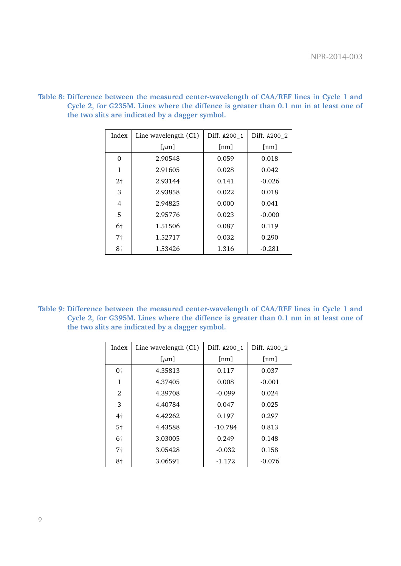| Index          | Line wavelength $(C1)$         | Diff. A200_1       | Diff. A200_2 |
|----------------|--------------------------------|--------------------|--------------|
|                | $\lbrack \mu \text{m} \rbrack$ | $\lceil nm \rceil$ | [nm]         |
| 0              | 2.90548                        | 0.059              | 0.018        |
| 1              | 2.91605                        | 0.028              | 0.042        |
| 2 <sub>1</sub> | 2.93144                        | 0.141              | $-0.026$     |
| 3              | 2.93858                        | 0.022              | 0.018        |
| 4              | 2.94825                        | 0.000              | 0.041        |
| 5              | 2.95776                        | 0.023              | $-0.000$     |
| $6\dagger$     | 1.51506                        | 0.087              | 0.119        |
| 7†             | 1.52717                        | 0.032              | 0.290        |
| 8 <sup>†</sup> | 1.53426                        | 1.316              | $-0.281$     |

**Table 8: Difference between the measured center-wavelength of CAA/REF lines in Cycle 1 and Cycle 2, for G235M. Lines where the diffence is greater than 0.1 nm in at least one of the two slits are indicated by a dagger symbol.**

**Table 9: Difference between the measured center-wavelength of CAA/REF lines in Cycle 1 and Cycle 2, for G395M. Lines where the diffence is greater than 0.1 nm in at least one of the two slits are indicated by a dagger symbol.**

| Index          | Line wavelength (C1)           | Diff. A200 1 | Diff. A200_2 |
|----------------|--------------------------------|--------------|--------------|
|                | $\lbrack \mu \text{m} \rbrack$ | [nm]         | [nm]         |
| 0 <sup>†</sup> | 4.35813                        | 0.117        | 0.037        |
| 1              | 4.37405                        | 0.008        | $-0.001$     |
| $\mathfrak{D}$ | 4.39708                        | $-0.099$     | 0.024        |
| 3              | 4.40784                        | 0.047        | 0.025        |
| 4 <sup>†</sup> | 4.42262                        | 0.197        | 0.297        |
| 5 <sup>†</sup> | 4.43588                        | $-10.784$    | 0.813        |
| 6 <sup>†</sup> | 3.03005                        | 0.249        | 0.148        |
| 7†             | 3.05428                        | $-0.032$     | 0.158        |
| 8†             | 3.06591                        | $-1.172$     | $-0.076$     |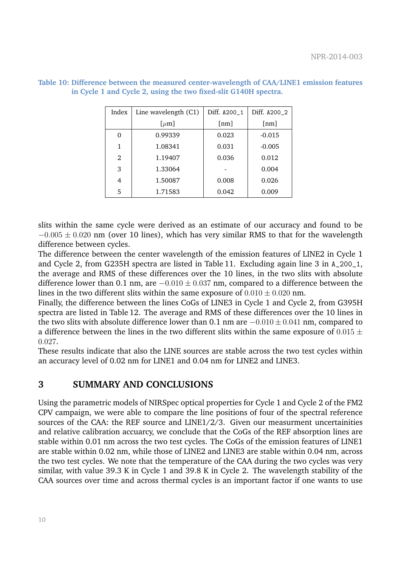| Index          | Line wavelength $(C1)$      | Diff. A200_1       | Diff. A200_2       |
|----------------|-----------------------------|--------------------|--------------------|
|                | $\left[\mu \text{m}\right]$ | $\lceil nm \rceil$ | $\lceil nm \rceil$ |
| ∩              | 0.99339                     | 0.023              | $-0.015$           |
| 1              | 1.08341                     | 0.031              | $-0.005$           |
| $\mathfrak{D}$ | 1.19407                     | 0.036              | 0.012              |
| 3              | 1.33064                     |                    | 0.004              |
| 4              | 1.50087                     | 0.008              | 0.026              |
| 5              | 1.71583                     | 0.042              | 0.009              |

**Table 10: Difference between the measured center-wavelength of CAA/LINE1 emission features in Cycle 1 and Cycle 2, using the two fixed-slit G140H spectra.**

slits within the same cycle were derived as an estimate of our accuracy and found to be  $-0.005 \pm 0.020$  nm (over 10 lines), which has very similar RMS to that for the wavelength difference between cycles.

The difference between the center wavelength of the emission features of LINE2 in Cycle 1 and Cycle 2, from G235H spectra are listed in Table 11. Excluding again line 3 in A\_200\_1, the average and RMS of these differences over the 10 lines, in the two slits with absolute difference lower than 0.1 nm, are  $-0.010 \pm 0.037$  nm, compared to a difference between the lines in the two different slits within the same exposure of  $0.010 \pm 0.020$  nm.

Finally, the difference between the lines CoGs of LINE3 in Cycle 1 and Cycle 2, from G395H spectra are listed in Table 12. The average and RMS of these differences over the 10 lines in the two slits with absolute difference lower than 0.1 nm are  $-0.010 \pm 0.041$  nm, compared to a difference between the lines in the two different slits within the same exposure of  $0.015 \pm$ 0.027.

These results indicate that also the LINE sources are stable across the two test cycles within an accuracy level of 0.02 nm for LINE1 and 0.04 nm for LINE2 and LINE3.

### **3 SUMMARY AND CONCLUSIONS**

Using the parametric models of NIRSpec optical properties for Cycle 1 and Cycle 2 of the FM2 CPV campaign, we were able to compare the line positions of four of the spectral reference sources of the CAA: the REF source and LINE1/2/3. Given our measurment uncertainities and relative calibration accuarcy, we conclude that the CoGs of the REF absorption lines are stable within 0.01 nm across the two test cycles. The CoGs of the emission features of LINE1 are stable within 0.02 nm, while those of LINE2 and LINE3 are stable within 0.04 nm, across the two test cycles. We note that the temperature of the CAA during the two cycles was very similar, with value 39.3 K in Cycle 1 and 39.8 K in Cycle 2. The wavelength stability of the CAA sources over time and across thermal cycles is an important factor if one wants to use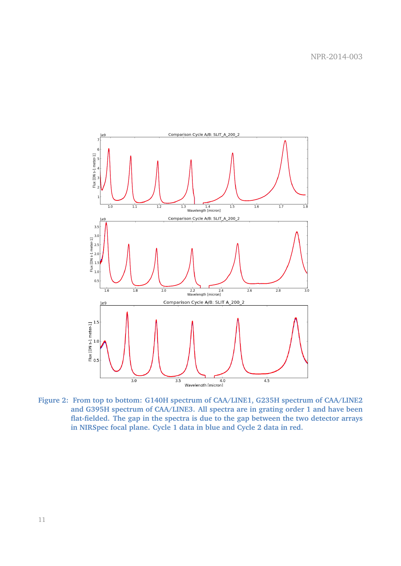

**Figure 2: From top to bottom: G140H spectrum of CAA/LINE1, G235H spectrum of CAA/LINE2 and G395H spectrum of CAA/LINE3. All spectra are in grating order 1 and have been flat-fielded. The gap in the spectra is due to the gap between the two detector arrays in NIRSpec focal plane. Cycle 1 data in blue and Cycle 2 data in red.**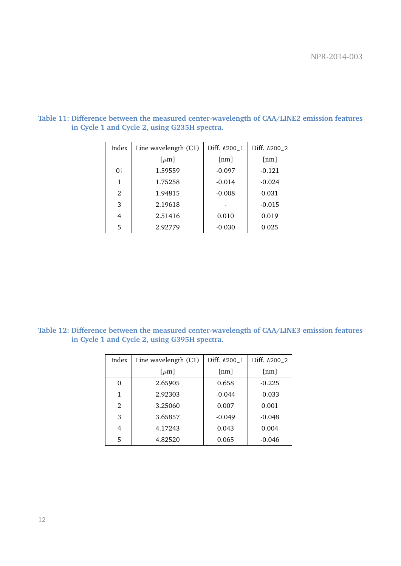| Index | Line wavelength $(C1)$ | Diff. A200_1 | Diff. A200_2 |
|-------|------------------------|--------------|--------------|
|       | $\left[\mu \right]$    | [nm]         | [nm]         |
| 0†    | 1.59559                | $-0.097$     | $-0.121$     |
| 1     | 1.75258                | $-0.014$     | $-0.024$     |
| 2     | 1.94815                | $-0.008$     | 0.031        |
| 3     | 2.19618                |              | $-0.015$     |
| 4     | 2.51416                | 0.010        | 0.019        |
| 5     | 2.92779                | $-0.030$     | 0.025        |

**Table 11: Difference between the measured center-wavelength of CAA/LINE2 emission features in Cycle 1 and Cycle 2, using G235H spectra.**

**Table 12: Difference between the measured center-wavelength of CAA/LINE3 emission features in Cycle 1 and Cycle 2, using G395H spectra.**

| Index          | Line wavelength $(C1)$         | Diff. A200_1 | Diff. A200_2       |
|----------------|--------------------------------|--------------|--------------------|
|                | $\lbrack \mu \text{m} \rbrack$ | [nm]         | $\lceil nm \rceil$ |
| 0              | 2.65905                        | 0.658        | $-0.225$           |
| 1              | 2.92303                        | $-0.044$     | $-0.033$           |
| $\mathfrak{D}$ | 3.25060                        | 0.007        | 0.001              |
| 3              | 3.65857                        | $-0.049$     | $-0.048$           |
| 4              | 4.17243                        | 0.043        | 0.004              |
| 5              | 4.82520                        | 0.065        | $-0.046$           |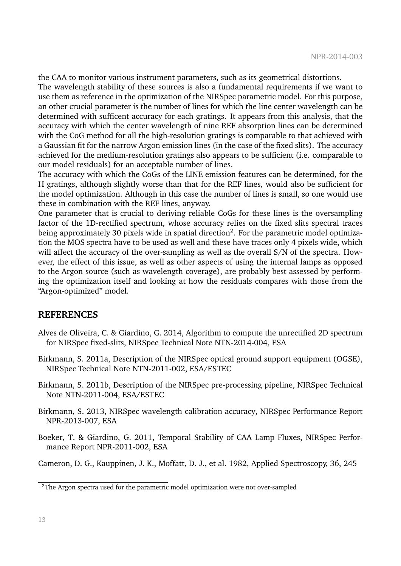the CAA to monitor various instrument parameters, such as its geometrical distortions.

The wavelength stability of these sources is also a fundamental requirements if we want to use them as reference in the optimization of the NIRSpec parametric model. For this purpose, an other crucial parameter is the number of lines for which the line center wavelength can be determined with sufficent accuracy for each gratings. It appears from this analysis, that the accuracy with which the center wavelength of nine REF absorption lines can be determined with the CoG method for all the high-resolution gratings is comparable to that achieved with a Gaussian fit for the narrow Argon emission lines (in the case of the fixed slits). The accuracy achieved for the medium-resolution gratings also appears to be sufficient (i.e. comparable to our model residuals) for an acceptable number of lines.

The accuracy with which the CoGs of the LINE emission features can be determined, for the H gratings, although slightly worse than that for the REF lines, would also be sufficient for the model optimization. Although in this case the number of lines is small, so one would use these in combination with the REF lines, anyway.

One parameter that is crucial to deriving reliable CoGs for these lines is the oversampling factor of the 1D-rectified spectrum, whose accuracy relies on the fixed slits spectral traces being approximately 30 pixels wide in spatial direction $^2$ . For the parametric model optimization the MOS spectra have to be used as well and these have traces only 4 pixels wide, which will affect the accuracy of the over-sampling as well as the overall S/N of the spectra. However, the effect of this issue, as well as other aspects of using the internal lamps as opposed to the Argon source (such as wavelength coverage), are probably best assessed by performing the optimization itself and looking at how the residuals compares with those from the "Argon-optimized" model.

#### **REFERENCES**

- Alves de Oliveira, C. & Giardino, G. 2014, Algorithm to compute the unrectified 2D spectrum for NIRSpec fixed-slits, NIRSpec Technical Note NTN-2014-004, ESA
- Birkmann, S. 2011a, Description of the NIRSpec optical ground support equipment (OGSE), NIRSpec Technical Note NTN-2011-002, ESA/ESTEC
- Birkmann, S. 2011b, Description of the NIRSpec pre-processing pipeline, NIRSpec Technical Note NTN-2011-004, ESA/ESTEC
- Birkmann, S. 2013, NIRSpec wavelength calibration accuracy, NIRSpec Performance Report NPR-2013-007, ESA
- Boeker, T. & Giardino, G. 2011, Temporal Stability of CAA Lamp Fluxes, NIRSpec Performance Report NPR-2011-002, ESA

Cameron, D. G., Kauppinen, J. K., Moffatt, D. J., et al. 1982, Applied Spectroscopy, 36, 245

<sup>&</sup>lt;sup>2</sup>The Argon spectra used for the parametric model optimization were not over-sampled